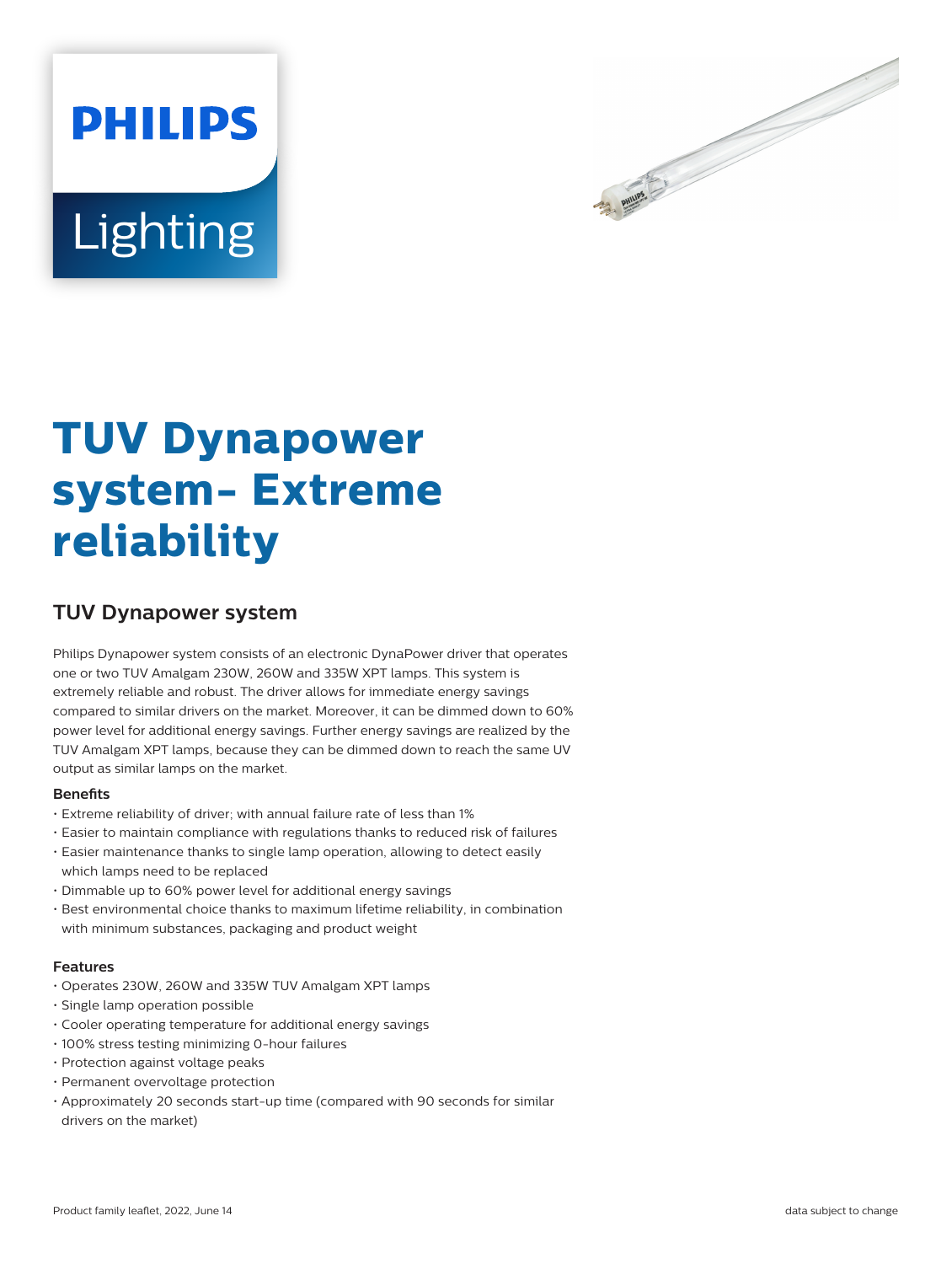



# **TUV Dynapower system- Extreme reliability**

# **TUV Dynapower system**

Philips Dynapower system consists of an electronic DynaPower driver that operates one or two TUV Amalgam 230W, 260W and 335W XPT lamps. This system is extremely reliable and robust. The driver allows for immediate energy savings compared to similar drivers on the market. Moreover, it can be dimmed down to 60% power level for additional energy savings. Further energy savings are realized by the TUV Amalgam XPT lamps, because they can be dimmed down to reach the same UV output as similar lamps on the market.

# **Benets**

- Extreme reliability of driver; with annual failure rate of less than 1%
- Easier to maintain compliance with regulations thanks to reduced risk of failures
- Easier maintenance thanks to single lamp operation, allowing to detect easily which lamps need to be replaced
- Dimmable up to 60% power level for additional energy savings
- Best environmental choice thanks to maximum lifetime reliability, in combination with minimum substances, packaging and product weight

# **Features**

- Operates 230W, 260W and 335W TUV Amalgam XPT lamps
- Single lamp operation possible
- Cooler operating temperature for additional energy savings
- 100% stress testing minimizing 0-hour failures
- Protection against voltage peaks
- Permanent overvoltage protection
- Approximately 20 seconds start-up time (compared with 90 seconds for similar drivers on the market)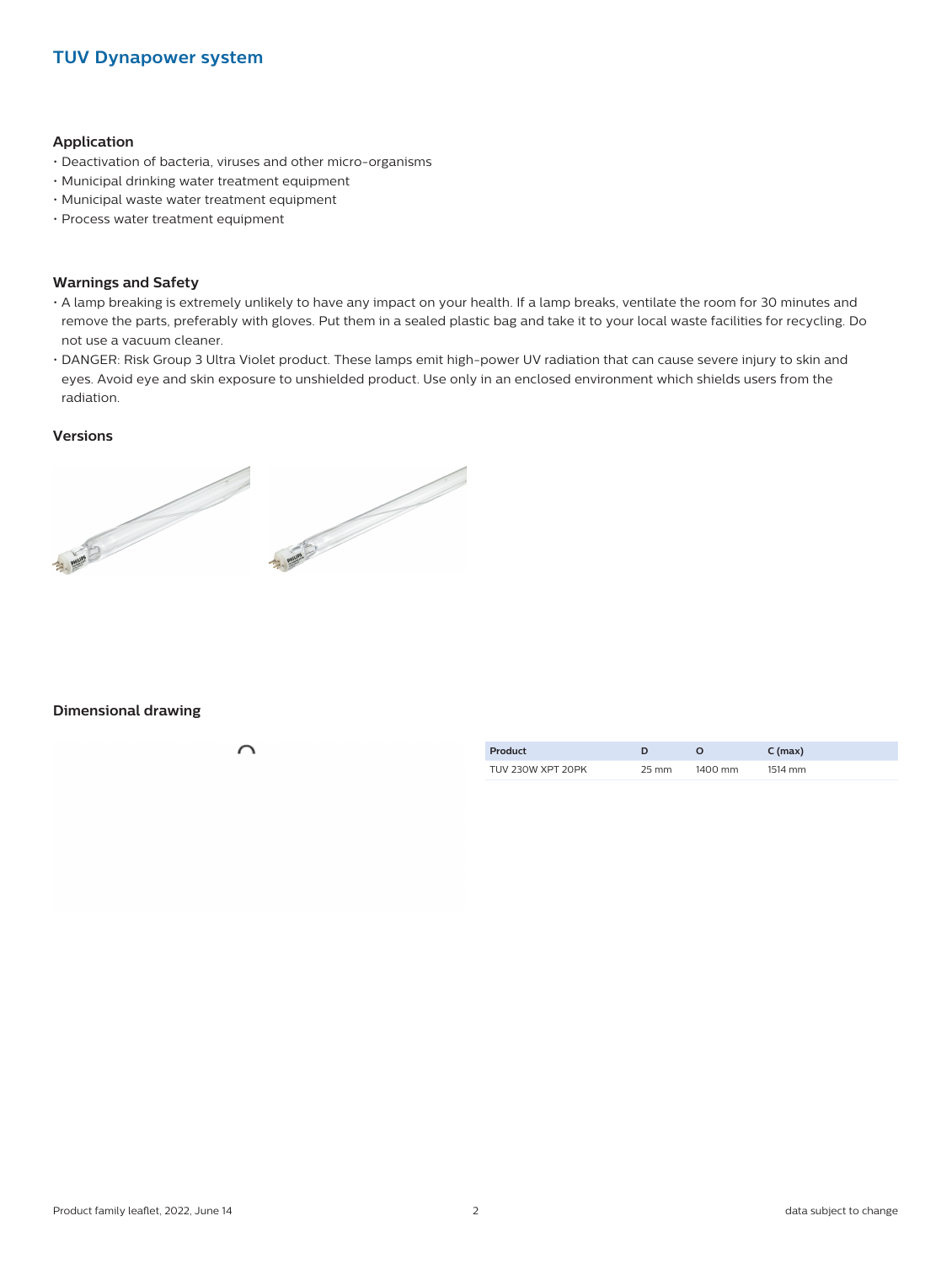# **TUV Dynapower system**

## **Application**

- Deactivation of bacteria, viruses and other micro-organisms
- Municipal drinking water treatment equipment
- Municipal waste water treatment equipment
- Process water treatment equipment

## **Warnings and Safety**

- A lamp breaking is extremely unlikely to have any impact on your health. If a lamp breaks, ventilate the room for 30 minutes and remove the parts, preferably with gloves. Put them in a sealed plastic bag and take it to your local waste facilities for recycling. Do not use a vacuum cleaner.
- DANGER: Risk Group 3 Ultra Violet product. These lamps emit high-power UV radiation that can cause severe injury to skin and eyes. Avoid eye and skin exposure to unshielded product. Use only in an enclosed environment which shields users from the radiation.

# **Versions**



# **Dimensional drawing**

| Product           |               | $C$ (max) |
|-------------------|---------------|-----------|
| TUV 230W XPT 20PK | 25 mm 1400 mm | 1514 mm   |